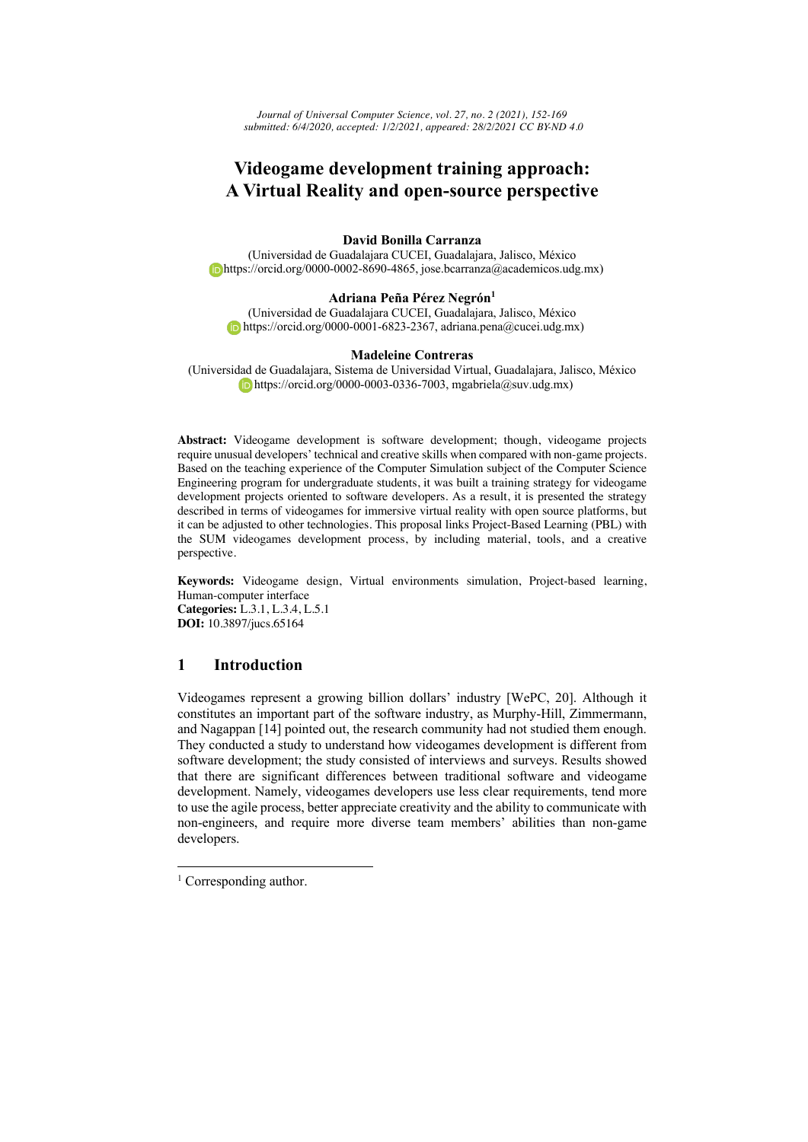*Journal of Universal Computer Science, vol. 27, no. 2 (2021), 152-169 submitted: 6/4/2020, accepted: 1/2/2021, appeared: 28/2/2021 CC BY-ND 4.0*

# **Videogame development training approach: A Virtual Reality and open-source perspective**

### **David Bonilla Carranza**

(Universidad de Guadalajara CUCEI, Guadalajara, Jalisco, México https://orcid.org/0000-0002-8690-4865, jose.bcarranza@academicos.udg.mx)

### **Adriana Peña Pérez Negrón1**

(Universidad de Guadalajara CUCEI, Guadalajara, Jalisco, México https://orcid.org/0000-0001-6823-2367, adriana.pena@cucei.udg.mx)

#### **Madeleine Contreras**

(Universidad de Guadalajara, Sistema de Universidad Virtual, Guadalajara, Jalisco, México https://orcid.org/0000-0003-0336-7003, mgabriela@suv.udg.mx)

**Abstract:** Videogame development is software development; though, videogame projects require unusual developers' technical and creative skills when compared with non-game projects. Based on the teaching experience of the Computer Simulation subject of the Computer Science Engineering program for undergraduate students, it was built a training strategy for videogame development projects oriented to software developers. As a result, it is presented the strategy described in terms of videogames for immersive virtual reality with open source platforms, but it can be adjusted to other technologies. This proposal links Project-Based Learning (PBL) with the SUM videogames development process, by including material, tools, and a creative perspective.

**Keywords:** Videogame design, Virtual environments simulation, Project-based learning, Human-computer interface **Categories:** L.3.1, L.3.4, L.5.1 **DOI:** 10.3897/jucs.65164

# **1 Introduction**

Videogames represent a growing billion dollars' industry [WePC, 20]. Although it constitutes an important part of the software industry, as Murphy-Hill, Zimmermann, and Nagappan [14] pointed out, the research community had not studied them enough. They conducted a study to understand how videogames development is different from software development; the study consisted of interviews and surveys. Results showed that there are significant differences between traditional software and videogame development. Namely, videogames developers use less clear requirements, tend more to use the agile process, better appreciate creativity and the ability to communicate with non-engineers, and require more diverse team members' abilities than non-game developers.

 $1$  Corresponding author.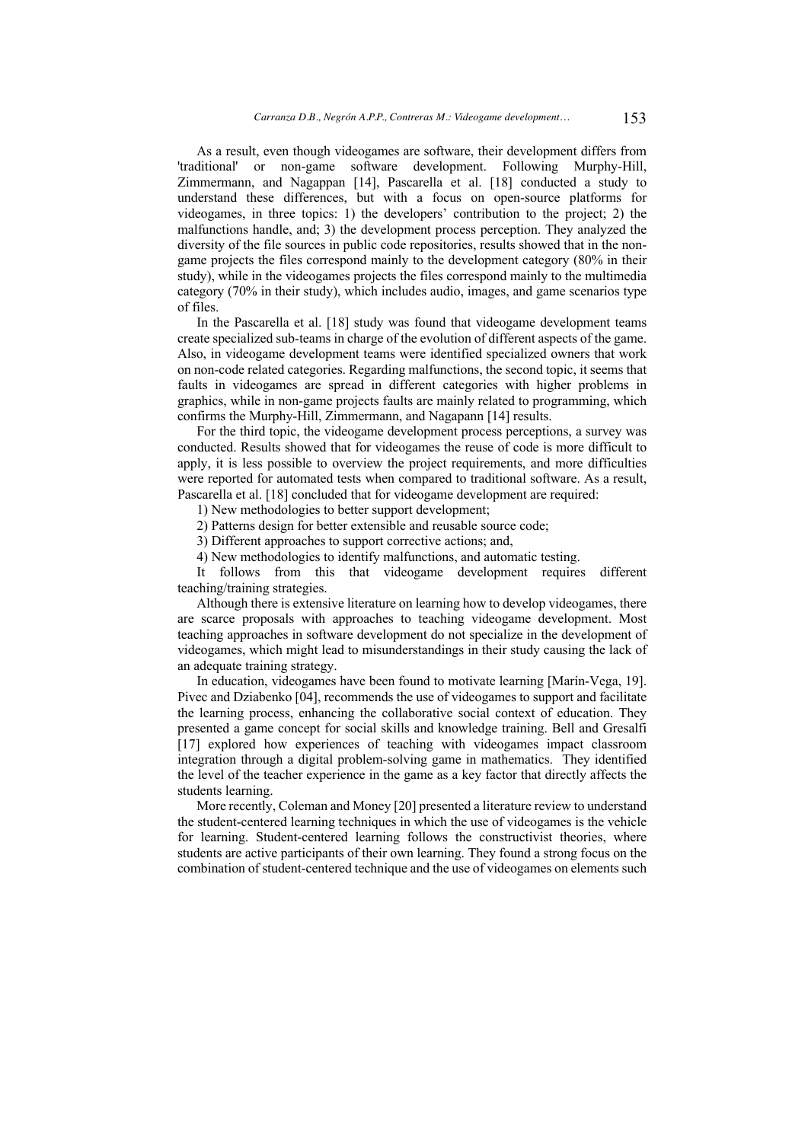As a result, even though videogames are software, their development differs from 'traditional' or non-game software development. Following Murphy-Hill, Zimmermann, and Nagappan [14], Pascarella et al. [18] conducted a study to understand these differences, but with a focus on open-source platforms for videogames, in three topics: 1) the developers' contribution to the project; 2) the malfunctions handle, and; 3) the development process perception. They analyzed the diversity of the file sources in public code repositories, results showed that in the nongame projects the files correspond mainly to the development category (80% in their study), while in the videogames projects the files correspond mainly to the multimedia category (70% in their study), which includes audio, images, and game scenarios type of files.

In the Pascarella et al. [18] study was found that videogame development teams create specialized sub-teams in charge of the evolution of different aspects of the game. Also, in videogame development teams were identified specialized owners that work on non-code related categories. Regarding malfunctions, the second topic, it seems that faults in videogames are spread in different categories with higher problems in graphics, while in non-game projects faults are mainly related to programming, which confirms the Murphy-Hill, Zimmermann, and Nagapann [14] results.

For the third topic, the videogame development process perceptions, a survey was conducted. Results showed that for videogames the reuse of code is more difficult to apply, it is less possible to overview the project requirements, and more difficulties were reported for automated tests when compared to traditional software. As a result, Pascarella et al. [18] concluded that for videogame development are required:

1) New methodologies to better support development;

2) Patterns design for better extensible and reusable source code;

3) Different approaches to support corrective actions; and,

4) New methodologies to identify malfunctions, and automatic testing.

It follows from this that videogame development requires different teaching/training strategies.

Although there is extensive literature on learning how to develop videogames, there are scarce proposals with approaches to teaching videogame development. Most teaching approaches in software development do not specialize in the development of videogames, which might lead to misunderstandings in their study causing the lack of an adequate training strategy.

In education, videogames have been found to motivate learning [Marín-Vega, 19]. Pivec and Dziabenko [04], recommends the use of videogames to support and facilitate the learning process, enhancing the collaborative social context of education. They presented a game concept for social skills and knowledge training. Bell and Gresalfi [17] explored how experiences of teaching with videogames impact classroom integration through a digital problem-solving game in mathematics. They identified the level of the teacher experience in the game as a key factor that directly affects the students learning.

More recently, Coleman and Money [20] presented a literature review to understand the student-centered learning techniques in which the use of videogames is the vehicle for learning. Student-centered learning follows the constructivist theories, where students are active participants of their own learning. They found a strong focus on the combination of student-centered technique and the use of videogames on elements such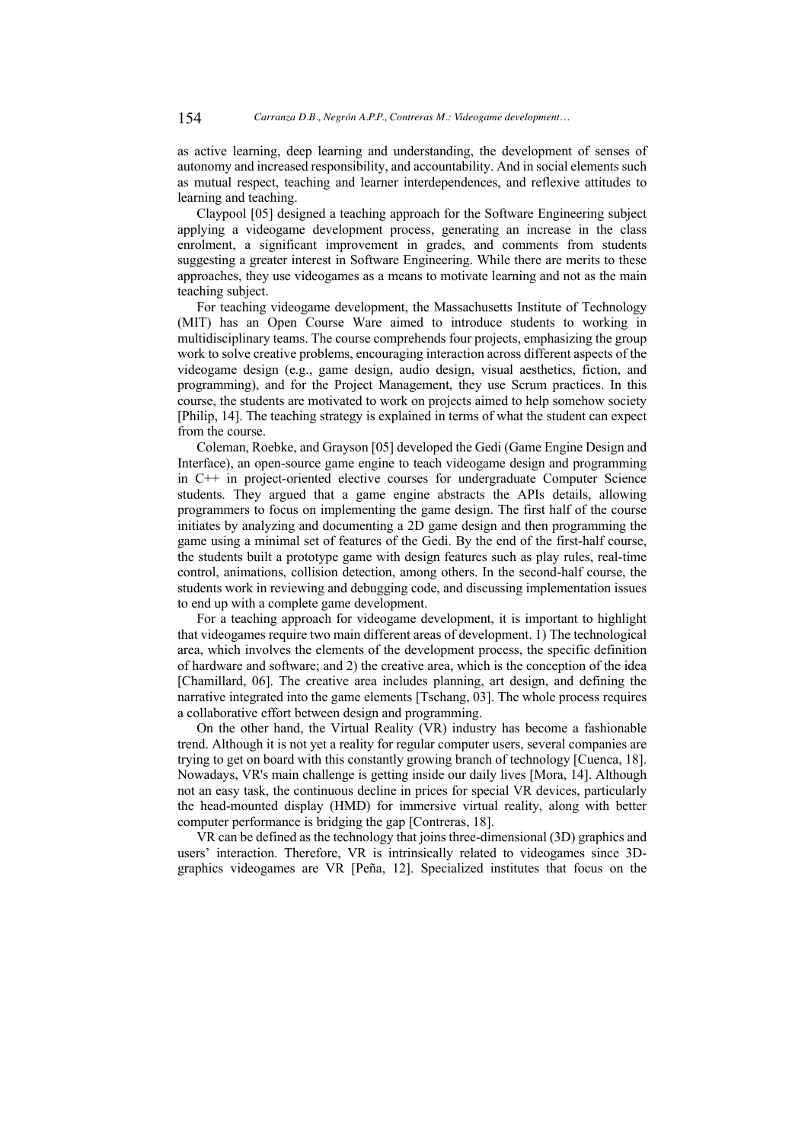as active learning, deep learning and understanding, the development of senses of autonomy and increased responsibility, and accountability. And in social elements such as mutual respect, teaching and learner interdependences, and reflexive attitudes to learning and teaching.

Claypool [05] designed a teaching approach for the Software Engineering subject applying a videogame development process, generating an increase in the class enrolment, a significant improvement in grades, and comments from students suggesting a greater interest in Software Engineering. While there are merits to these approaches, they use videogames as a means to motivate learning and not as the main teaching subject.

For teaching videogame development, the Massachusetts Institute of Technology (MIT) has an Open Course Ware aimed to introduce students to working in multidisciplinary teams. The course comprehends four projects, emphasizing the group work to solve creative problems, encouraging interaction across different aspects of the videogame design (e.g., game design, audio design, visual aesthetics, fiction, and programming), and for the Project Management, they use Scrum practices. In this course, the students are motivated to work on projects aimed to help somehow society [Philip, 14]. The teaching strategy is explained in terms of what the student can expect from the course.

Coleman, Roebke, and Grayson [05] developed the Gedi (Game Engine Design and Interface), an open-source game engine to teach videogame design and programming in C++ in project-oriented elective courses for undergraduate Computer Science students. They argued that a game engine abstracts the APIs details, allowing programmers to focus on implementing the game design. The first half of the course initiates by analyzing and documenting a 2D game design and then programming the game using a minimal set of features of the Gedi. By the end of the first-half course, the students built a prototype game with design features such as play rules, real-time control, animations, collision detection, among others. In the second-half course, the students work in reviewing and debugging code, and discussing implementation issues to end up with a complete game development.

For a teaching approach for videogame development, it is important to highlight that videogames require two main different areas of development. 1) The technological area, which involves the elements of the development process, the specific definition of hardware and software; and 2) the creative area, which is the conception of the idea [Chamillard, 06]. The creative area includes planning, art design, and defining the narrative integrated into the game elements [Tschang, 03]. The whole process requires a collaborative effort between design and programming.

On the other hand, the Virtual Reality (VR) industry has become a fashionable trend. Although it is not yet a reality for regular computer users, several companies are trying to get on board with this constantly growing branch of technology [Cuenca, 18]. Nowadays, VR's main challenge is getting inside our daily lives [Mora, 14]. Although not an easy task, the continuous decline in prices for special VR devices, particularly the head-mounted display (HMD) for immersive virtual reality, along with better computer performance is bridging the gap [Contreras, 18].

VR can be defined as the technology that joins three-dimensional (3D) graphics and users' interaction. Therefore, VR is intrinsically related to videogames since 3Dgraphics videogames are VR [Peña, 12]. Specialized institutes that focus on the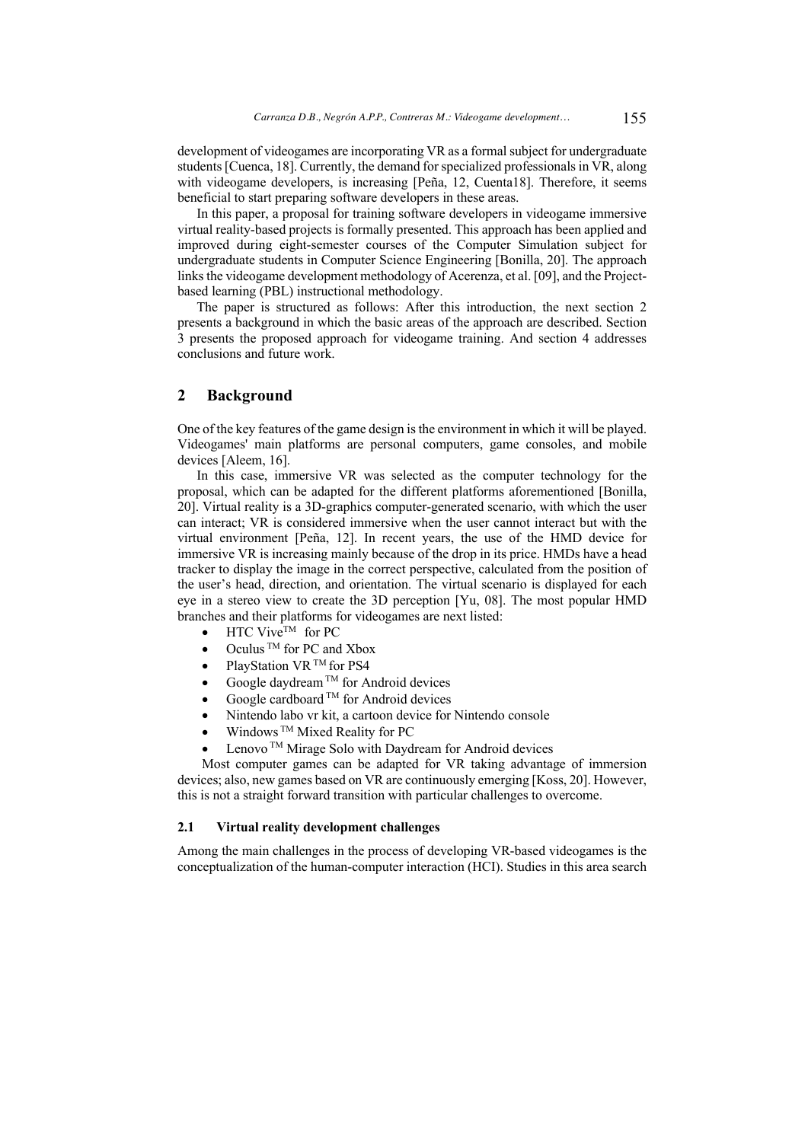development of videogames are incorporating VR as a formal subject for undergraduate students [Cuenca, 18]. Currently, the demand for specialized professionals in VR, along with videogame developers, is increasing [Peña, 12, Cuenta18]. Therefore, it seems beneficial to start preparing software developers in these areas.

In this paper, a proposal for training software developers in videogame immersive virtual reality-based projects is formally presented. This approach has been applied and improved during eight-semester courses of the Computer Simulation subject for undergraduate students in Computer Science Engineering [Bonilla, 20]. The approach links the videogame development methodology of Acerenza, et al. [09], and the Projectbased learning (PBL) instructional methodology.

The paper is structured as follows: After this introduction, the next section 2 presents a background in which the basic areas of the approach are described. Section 3 presents the proposed approach for videogame training. And section 4 addresses conclusions and future work.

# **2 Background**

One of the key features of the game design is the environment in which it will be played. Videogames' main platforms are personal computers, game consoles, and mobile devices [Aleem, 16].

In this case, immersive VR was selected as the computer technology for the proposal, which can be adapted for the different platforms aforementioned [Bonilla, 20]. Virtual reality is a 3D-graphics computer-generated scenario, with which the user can interact; VR is considered immersive when the user cannot interact but with the virtual environment [Peña, 12]. In recent years, the use of the HMD device for immersive VR is increasing mainly because of the drop in its price. HMDs have a head tracker to display the image in the correct perspective, calculated from the position of the user's head, direction, and orientation. The virtual scenario is displayed for each eye in a stereo view to create the 3D perception [Yu, 08]. The most popular HMD branches and their platforms for videogames are next listed:

- HTC Vive™ for PC
- Oculus $^{\text{\tiny{\textsf{TM}}}}$  for PC and Xbox
- PlayStation VR<sup>TM</sup> for PS4
- Google daydream<sup>TM</sup> for Android devices
- Google cardboard  $^{TM}$  for Android devices
- Nintendo labo vr kit, a cartoon device for Nintendo console
- Windows  $TM$  Mixed Reality for PC
	- Lenovo<sup>™</sup> Mirage Solo with Daydream for Android devices

Most computer games can be adapted for VR taking advantage of immersion devices; also, new games based on VR are continuously emerging [Koss, 20]. However, this is not a straight forward transition with particular challenges to overcome.

### **2.1 Virtual reality development challenges**

Among the main challenges in the process of developing VR-based videogames is the conceptualization of the human-computer interaction (HCI). Studies in this area search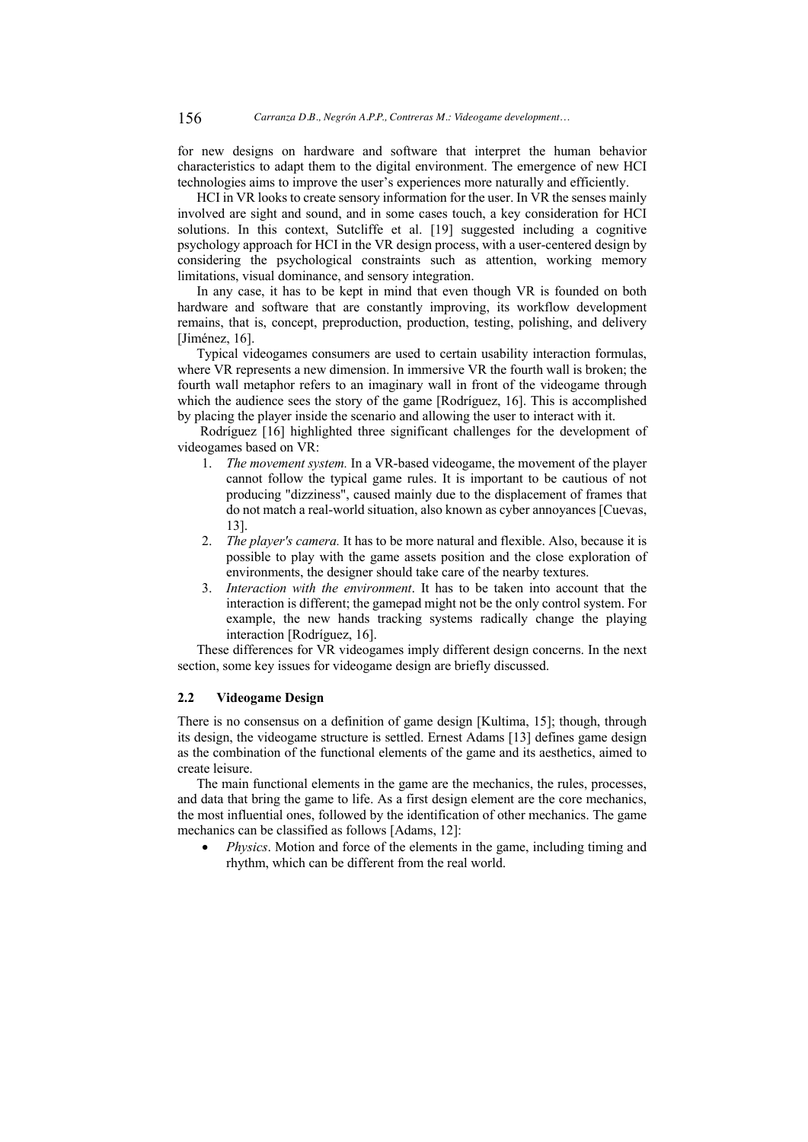for new designs on hardware and software that interpret the human behavior characteristics to adapt them to the digital environment. The emergence of new HCI technologies aims to improve the user's experiences more naturally and efficiently.

HCI in VR looks to create sensory information for the user. In VR the senses mainly involved are sight and sound, and in some cases touch, a key consideration for HCI solutions. In this context, Sutcliffe et al. [19] suggested including a cognitive psychology approach for HCI in the VR design process, with a user-centered design by considering the psychological constraints such as attention, working memory limitations, visual dominance, and sensory integration.

In any case, it has to be kept in mind that even though VR is founded on both hardware and software that are constantly improving, its workflow development remains, that is, concept, preproduction, production, testing, polishing, and delivery [Jiménez, 16].

Typical videogames consumers are used to certain usability interaction formulas, where VR represents a new dimension. In immersive VR the fourth wall is broken; the fourth wall metaphor refers to an imaginary wall in front of the videogame through which the audience sees the story of the game [Rodríguez, 16]. This is accomplished by placing the player inside the scenario and allowing the user to interact with it.

Rodríguez [16] highlighted three significant challenges for the development of videogames based on VR:

- 1. *The movement system.* In a VR-based videogame, the movement of the player cannot follow the typical game rules. It is important to be cautious of not producing "dizziness", caused mainly due to the displacement of frames that do not match a real-world situation, also known as cyber annoyances [Cuevas, 13].
- 2. *The player's camera.* It has to be more natural and flexible. Also, because it is possible to play with the game assets position and the close exploration of environments, the designer should take care of the nearby textures.
- 3. *Interaction with the environment*. It has to be taken into account that the interaction is different; the gamepad might not be the only control system. For example, the new hands tracking systems radically change the playing interaction [Rodríguez, 16].

These differences for VR videogames imply different design concerns. In the next section, some key issues for videogame design are briefly discussed.

### **2.2 Videogame Design**

There is no consensus on a definition of game design [Kultima, 15]; though, through its design, the videogame structure is settled. Ernest Adams [13] defines game design as the combination of the functional elements of the game and its aesthetics, aimed to create leisure.

The main functional elements in the game are the mechanics, the rules, processes, and data that bring the game to life. As a first design element are the core mechanics, the most influential ones, followed by the identification of other mechanics. The game mechanics can be classified as follows [Adams, 12]:

*Physics*. Motion and force of the elements in the game, including timing and rhythm, which can be different from the real world.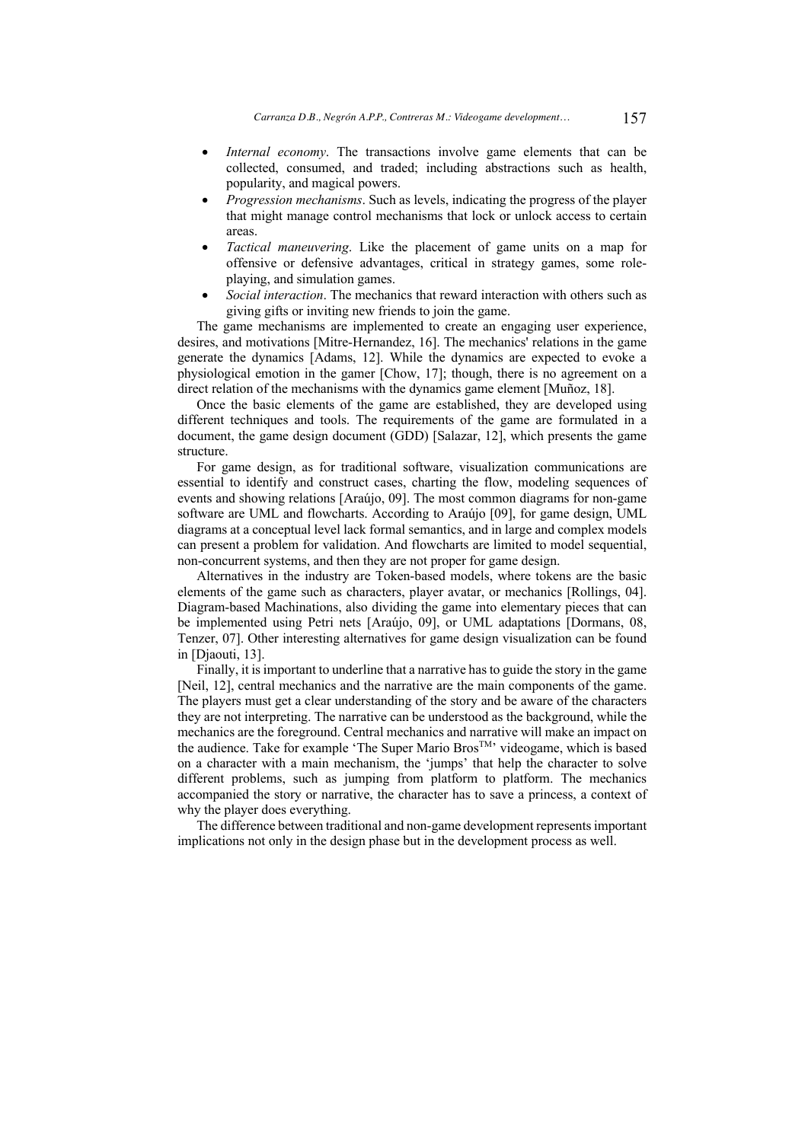- *Internal economy*. The transactions involve game elements that can be collected, consumed, and traded; including abstractions such as health, popularity, and magical powers.
- *Progression mechanisms*. Such as levels, indicating the progress of the player that might manage control mechanisms that lock or unlock access to certain areas.
- *Tactical maneuvering*. Like the placement of game units on a map for offensive or defensive advantages, critical in strategy games, some roleplaying, and simulation games.
- *Social interaction*. The mechanics that reward interaction with others such as giving gifts or inviting new friends to join the game.

The game mechanisms are implemented to create an engaging user experience, desires, and motivations [Mitre-Hernandez, 16]. The mechanics' relations in the game generate the dynamics [Adams, 12]. While the dynamics are expected to evoke a physiological emotion in the gamer [Chow, 17]; though, there is no agreement on a direct relation of the mechanisms with the dynamics game element [Muñoz, 18].

Once the basic elements of the game are established, they are developed using different techniques and tools. The requirements of the game are formulated in a document, the game design document (GDD) [Salazar, 12], which presents the game structure.

For game design, as for traditional software, visualization communications are essential to identify and construct cases, charting the flow, modeling sequences of events and showing relations [Araújo, 09]. The most common diagrams for non-game software are UML and flowcharts. According to Araújo [09], for game design, UML diagrams at a conceptual level lack formal semantics, and in large and complex models can present a problem for validation. And flowcharts are limited to model sequential, non-concurrent systems, and then they are not proper for game design.

Alternatives in the industry are Token-based models, where tokens are the basic elements of the game such as characters, player avatar, or mechanics [Rollings, 04]. Diagram-based Machinations, also dividing the game into elementary pieces that can be implemented using Petri nets [Araújo, 09], or UML adaptations [Dormans, 08, Tenzer, 07]. Other interesting alternatives for game design visualization can be found in [Djaouti, 13].

Finally, it is important to underline that a narrative has to guide the story in the game [Neil, 12], central mechanics and the narrative are the main components of the game. The players must get a clear understanding of the story and be aware of the characters they are not interpreting. The narrative can be understood as the background, while the mechanics are the foreground. Central mechanics and narrative will make an impact on the audience. Take for example 'The Super Mario Bros<sup>TM</sup>' videogame, which is based on a character with a main mechanism, the 'jumps' that help the character to solve different problems, such as jumping from platform to platform. The mechanics accompanied the story or narrative, the character has to save a princess, a context of why the player does everything.

The difference between traditional and non-game development represents important implications not only in the design phase but in the development process as well.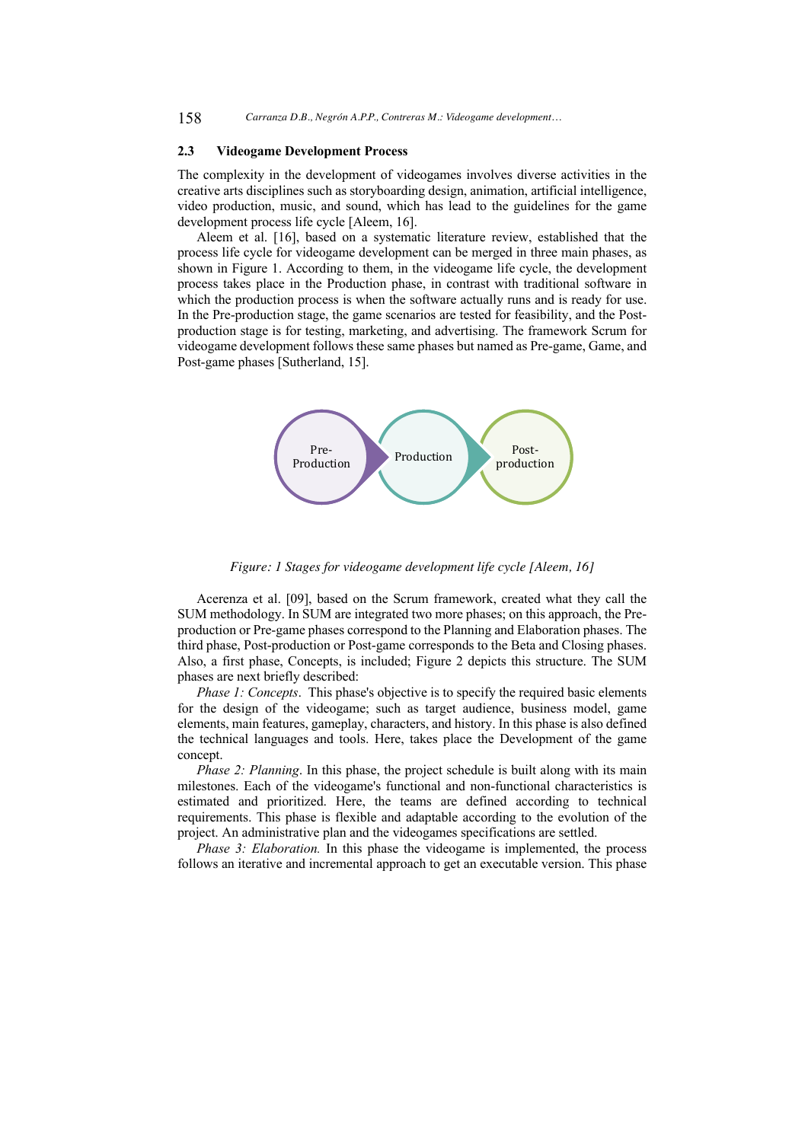### **2.3 Videogame Development Process**

The complexity in the development of videogames involves diverse activities in the creative arts disciplines such as storyboarding design, animation, artificial intelligence, video production, music, and sound, which has lead to the guidelines for the game development process life cycle [Aleem, 16].

Aleem et al. [16], based on a systematic literature review, established that the process life cycle for videogame development can be merged in three main phases, as shown in Figure 1. According to them, in the videogame life cycle, the development process takes place in the Production phase, in contrast with traditional software in which the production process is when the software actually runs and is ready for use. In the Pre-production stage, the game scenarios are tested for feasibility, and the Postproduction stage is for testing, marketing, and advertising. The framework Scrum for videogame development follows these same phases but named as Pre-game, Game, and Post-game phases [Sutherland, 15].



*Figure: 1 Stages for videogame development life cycle [Aleem, 16]*

Acerenza et al. [09], based on the Scrum framework, created what they call the SUM methodology. In SUM are integrated two more phases; on this approach, the Preproduction or Pre-game phases correspond to the Planning and Elaboration phases. The third phase, Post-production or Post-game corresponds to the Beta and Closing phases. Also, a first phase, Concepts, is included; Figure 2 depicts this structure. The SUM phases are next briefly described:

*Phase 1: Concepts.* This phase's objective is to specify the required basic elements for the design of the videogame; such as target audience, business model, game elements, main features, gameplay, characters, and history. In this phase is also defined the technical languages and tools. Here, takes place the Development of the game concept.

*Phase 2: Planning.* In this phase, the project schedule is built along with its main milestones. Each of the videogame's functional and non-functional characteristics is estimated and prioritized. Here, the teams are defined according to technical requirements. This phase is flexible and adaptable according to the evolution of the project. An administrative plan and the videogames specifications are settled.

*Phase 3: Elaboration.* In this phase the videogame is implemented, the process follows an iterative and incremental approach to get an executable version. This phase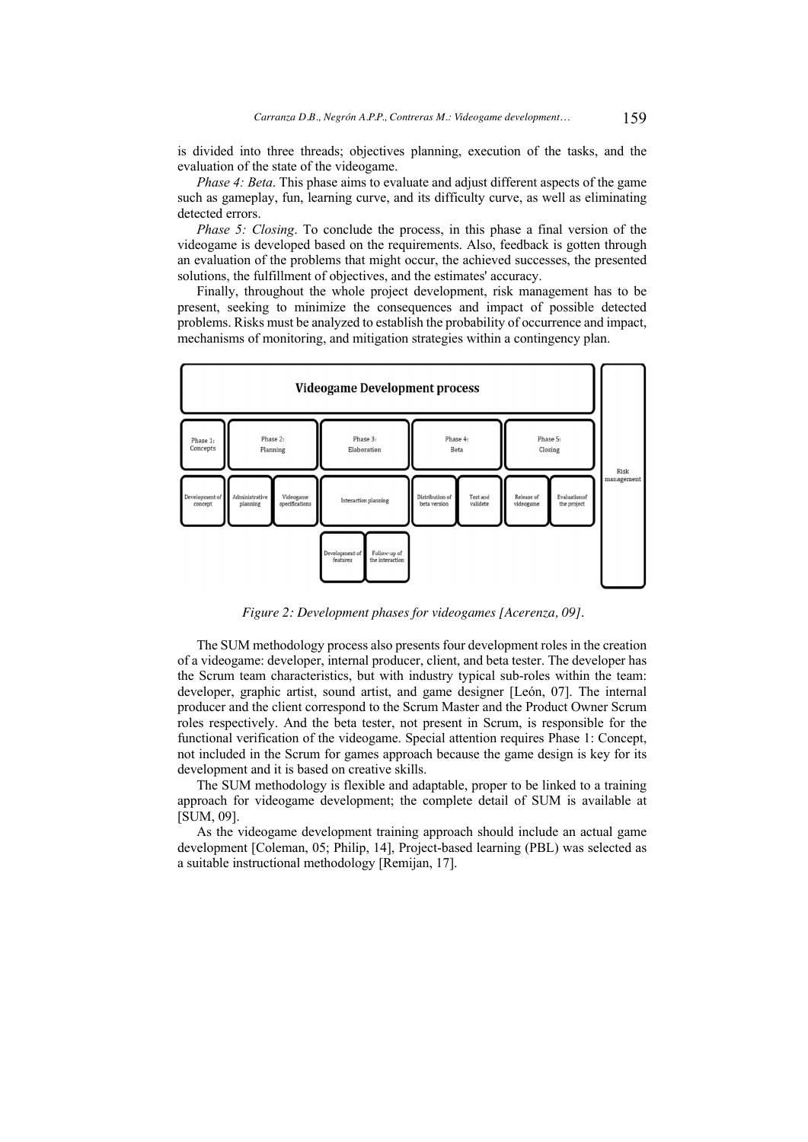is divided into three threads; objectives planning, execution of the tasks, and the evaluation of the state of the videogame.

*Phase 4: Beta*. This phase aims to evaluate and adjust different aspects of the game such as gameplay, fun, learning curve, and its difficulty curve, as well as eliminating detected errors.

*Phase 5: Closing.* To conclude the process, in this phase a final version of the videogame is developed based on the requirements. Also, feedback is gotten through an evaluation of the problems that might occur, the achieved successes, the presented solutions, the fulfillment of objectives, and the estimates' accuracy.

Finally, throughout the whole project development, risk management has to be present, seeking to minimize the consequences and impact of possible detected problems. Risks must be analyzed to establish the probability of occurrence and impact, mechanisms of monitoring, and mitigation strategies within a contingency plan.



*Figure 2: Development phases for videogames [Acerenza, 09].*

The SUM methodology process also presents four development roles in the creation of a videogame: developer, internal producer, client, and beta tester. The developer has the Scrum team characteristics, but with industry typical sub-roles within the team: developer, graphic artist, sound artist, and game designer [León, 07]. The internal producer and the client correspond to the Scrum Master and the Product Owner Scrum roles respectively. And the beta tester, not present in Scrum, is responsible for the functional verification of the videogame. Special attention requires Phase 1: Concept, not included in the Scrum for games approach because the game design is key for its development and it is based on creative skills.

The SUM methodology is flexible and adaptable, proper to be linked to a training approach for videogame development; the complete detail of SUM is available at [SUM, 09].

As the videogame development training approach should include an actual game development [Coleman, 05; Philip, 14], Project-based learning (PBL) was selected as a suitable instructional methodology [Remijan, 17].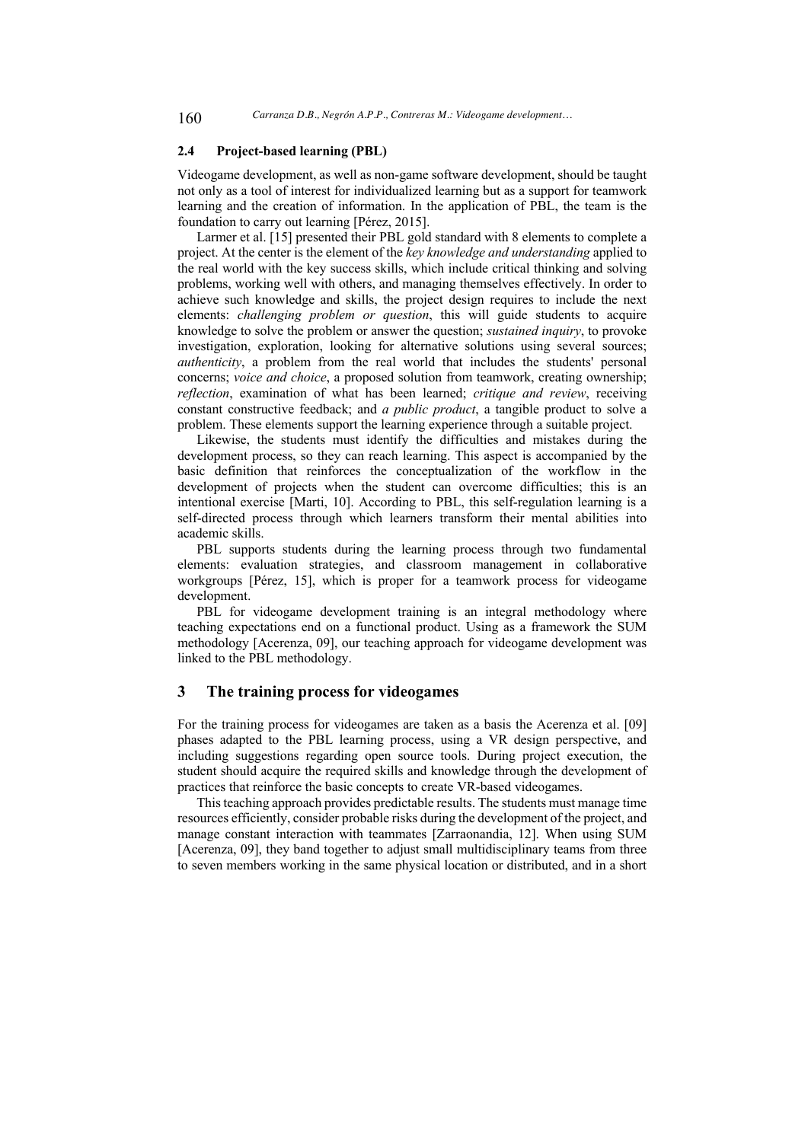### **2.4 Project-based learning (PBL)**

Videogame development, as well as non-game software development, should be taught not only as a tool of interest for individualized learning but as a support for teamwork learning and the creation of information. In the application of PBL, the team is the foundation to carry out learning [Pérez, 2015].

Larmer et al. [15] presented their PBL gold standard with 8 elements to complete a project. At the center is the element of the *key knowledge and understanding* applied to the real world with the key success skills, which include critical thinking and solving problems, working well with others, and managing themselves effectively. In order to achieve such knowledge and skills, the project design requires to include the next elements: *challenging problem or question*, this will guide students to acquire knowledge to solve the problem or answer the question; *sustained inquiry*, to provoke investigation, exploration, looking for alternative solutions using several sources; *authenticity*, a problem from the real world that includes the students' personal concerns; *voice and choice*, a proposed solution from teamwork, creating ownership; *reflection*, examination of what has been learned; *critique and review*, receiving constant constructive feedback; and *a public product*, a tangible product to solve a problem. These elements support the learning experience through a suitable project.

Likewise, the students must identify the difficulties and mistakes during the development process, so they can reach learning. This aspect is accompanied by the basic definition that reinforces the conceptualization of the workflow in the development of projects when the student can overcome difficulties; this is an intentional exercise [Marti, 10]. According to PBL, this self-regulation learning is a self-directed process through which learners transform their mental abilities into academic skills.

PBL supports students during the learning process through two fundamental elements: evaluation strategies, and classroom management in collaborative workgroups [Pérez, 15], which is proper for a teamwork process for videogame development.

PBL for videogame development training is an integral methodology where teaching expectations end on a functional product. Using as a framework the SUM methodology [Acerenza, 09], our teaching approach for videogame development was linked to the PBL methodology.

### **3 The training process for videogames**

For the training process for videogames are taken as a basis the Acerenza et al. [09] phases adapted to the PBL learning process, using a VR design perspective, and including suggestions regarding open source tools. During project execution, the student should acquire the required skills and knowledge through the development of practices that reinforce the basic concepts to create VR-based videogames.

This teaching approach provides predictable results. The students must manage time resources efficiently, consider probable risks during the development of the project, and manage constant interaction with teammates [Zarraonandia, 12]. When using SUM [Acerenza, 09], they band together to adjust small multidisciplinary teams from three to seven members working in the same physical location or distributed, and in a short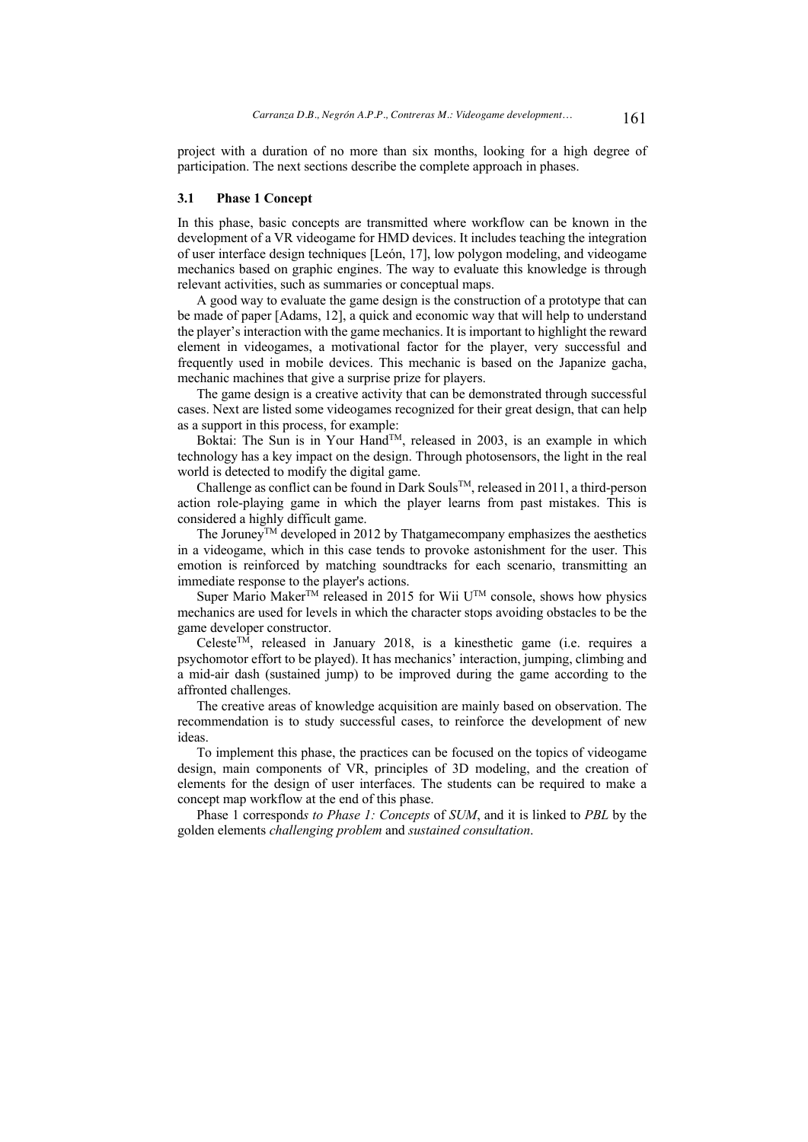project with a duration of no more than six months, looking for a high degree of participation. The next sections describe the complete approach in phases.

### **3.1 Phase 1 Concept**

In this phase, basic concepts are transmitted where workflow can be known in the development of a VR videogame for HMD devices. It includes teaching the integration of user interface design techniques [León, 17], low polygon modeling, and videogame mechanics based on graphic engines. The way to evaluate this knowledge is through relevant activities, such as summaries or conceptual maps.

A good way to evaluate the game design is the construction of a prototype that can be made of paper [Adams, 12], a quick and economic way that will help to understand the player's interaction with the game mechanics. It is important to highlight the reward element in videogames, a motivational factor for the player, very successful and frequently used in mobile devices. This mechanic is based on the Japanize gacha, mechanic machines that give a surprise prize for players.

The game design is a creative activity that can be demonstrated through successful cases. Next are listed some videogames recognized for their great design, that can help as a support in this process, for example:

Boktai: The Sun is in Your Hand<sup>TM</sup>, released in 2003, is an example in which technology has a key impact on the design. Through photosensors, the light in the real world is detected to modify the digital game.

Challenge as conflict can be found in Dark SoulsTM, released in 2011, a third-person action role-playing game in which the player learns from past mistakes. This is considered a highly difficult game.

The Joruney<sup>TM</sup> developed in 2012 by Thatgamecompany emphasizes the aesthetics in a videogame, which in this case tends to provoke astonishment for the user. This emotion is reinforced by matching soundtracks for each scenario, transmitting an immediate response to the player's actions.

Super Mario Maker<sup>TM</sup> released in 2015 for Wii U<sup>TM</sup> console, shows how physics mechanics are used for levels in which the character stops avoiding obstacles to be the game developer constructor.

CelesteTM, released in January 2018, is a kinesthetic game (i.e. requires a psychomotor effort to be played). It has mechanics' interaction, jumping, climbing and a mid-air dash (sustained jump) to be improved during the game according to the affronted challenges.

The creative areas of knowledge acquisition are mainly based on observation. The recommendation is to study successful cases, to reinforce the development of new ideas.

To implement this phase, the practices can be focused on the topics of videogame design, main components of VR, principles of 3D modeling, and the creation of elements for the design of user interfaces. The students can be required to make a concept map workflow at the end of this phase.

Phase 1 correspond*s to Phase 1: Concepts* of *SUM*, and it is linked to *PBL* by the golden elements *challenging problem* and *sustained consultation*.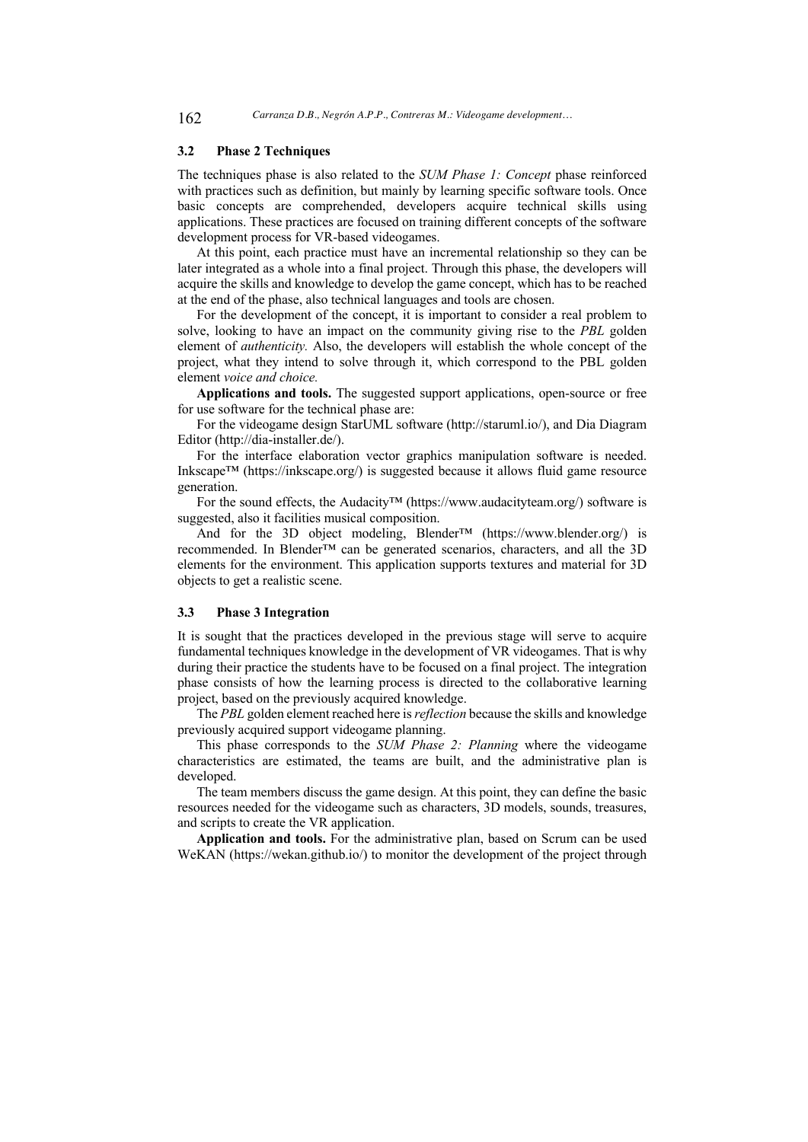### **3.2 Phase 2 Techniques**

The techniques phase is also related to the *SUM Phase 1: Concept* phase reinforced with practices such as definition, but mainly by learning specific software tools. Once basic concepts are comprehended, developers acquire technical skills using applications. These practices are focused on training different concepts of the software development process for VR-based videogames.

At this point, each practice must have an incremental relationship so they can be later integrated as a whole into a final project. Through this phase, the developers will acquire the skills and knowledge to develop the game concept, which has to be reached at the end of the phase, also technical languages and tools are chosen.

For the development of the concept, it is important to consider a real problem to solve, looking to have an impact on the community giving rise to the *PBL* golden element of *authenticity.* Also, the developers will establish the whole concept of the project, what they intend to solve through it, which correspond to the PBL golden element *voice and choice.*

**Applications and tools.** The suggested support applications, open-source or free for use software for the technical phase are:

For the videogame design StarUML software (http://staruml.io/), and Dia Diagram Editor (http://dia-installer.de/).

For the interface elaboration vector graphics manipulation software is needed. Inkscape™ (https://inkscape.org/) is suggested because it allows fluid game resource generation.

For the sound effects, the Audacity™ (https://www.audacityteam.org/) software is suggested, also it facilities musical composition.

And for the 3D object modeling, Blender<sup>™</sup> (https://www.blender.org/) is recommended. In Blender™ can be generated scenarios, characters, and all the 3D elements for the environment. This application supports textures and material for 3D objects to get a realistic scene.

### **3.3 Phase 3 Integration**

It is sought that the practices developed in the previous stage will serve to acquire fundamental techniques knowledge in the development of VR videogames. That is why during their practice the students have to be focused on a final project. The integration phase consists of how the learning process is directed to the collaborative learning project, based on the previously acquired knowledge.

The *PBL* golden element reached here is *reflection* because the skills and knowledge previously acquired support videogame planning.

This phase corresponds to the *SUM Phase 2: Planning* where the videogame characteristics are estimated, the teams are built, and the administrative plan is developed.

The team members discuss the game design. At this point, they can define the basic resources needed for the videogame such as characters, 3D models, sounds, treasures, and scripts to create the VR application.

**Application and tools.** For the administrative plan, based on Scrum can be used WeKAN (https://wekan.github.io/) to monitor the development of the project through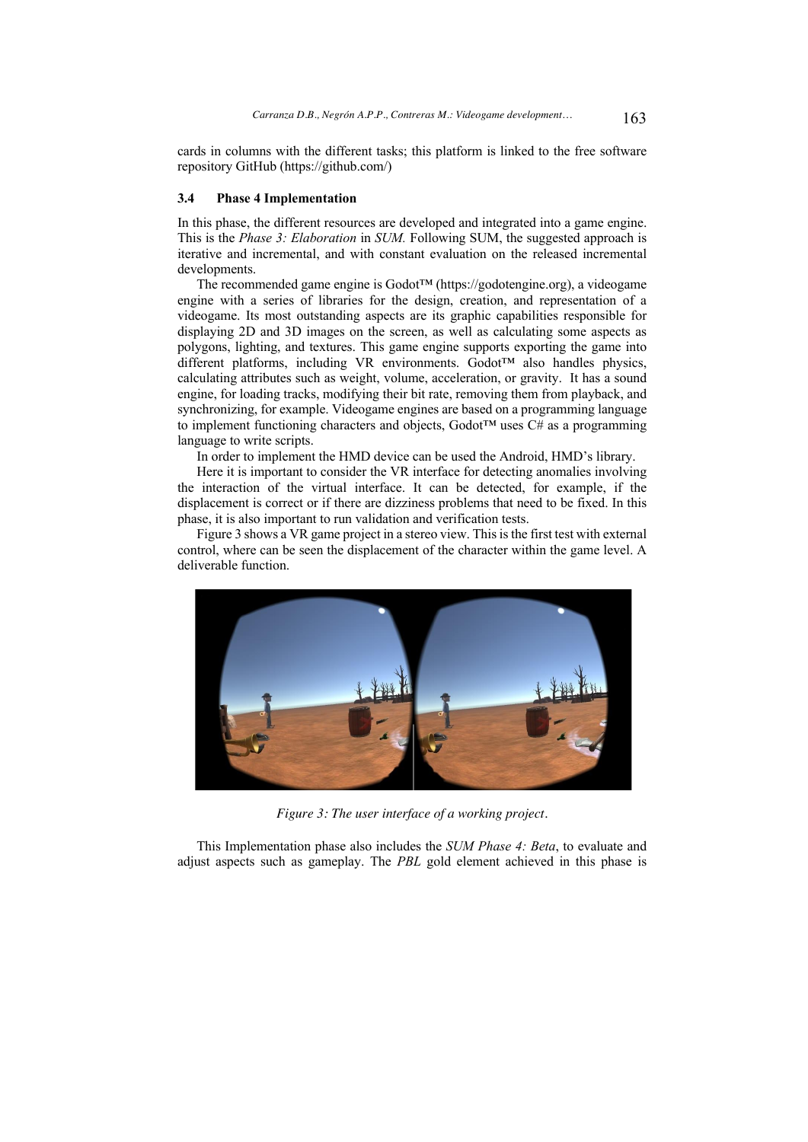cards in columns with the different tasks; this platform is linked to the free software repository GitHub (https://github.com/)

### **3.4 Phase 4 Implementation**

In this phase, the different resources are developed and integrated into a game engine. This is the *Phase 3: Elaboration* in *SUM.* Following SUM, the suggested approach is iterative and incremental, and with constant evaluation on the released incremental developments.

The recommended game engine is Godot™ (https://godotengine.org), a videogame engine with a series of libraries for the design, creation, and representation of a videogame. Its most outstanding aspects are its graphic capabilities responsible for displaying 2D and 3D images on the screen, as well as calculating some aspects as polygons, lighting, and textures. This game engine supports exporting the game into different platforms, including VR environments. Godot™ also handles physics, calculating attributes such as weight, volume, acceleration, or gravity. It has a sound engine, for loading tracks, modifying their bit rate, removing them from playback, and synchronizing, for example. Videogame engines are based on a programming language to implement functioning characters and objects, Godot<sup>TM</sup> uses  $C#$  as a programming language to write scripts.

In order to implement the HMD device can be used the Android, HMD's library.

Here it is important to consider the VR interface for detecting anomalies involving the interaction of the virtual interface. It can be detected, for example, if the displacement is correct or if there are dizziness problems that need to be fixed. In this phase, it is also important to run validation and verification tests.

Figure 3 shows a VR game project in a stereo view. This is the first test with external control, where can be seen the displacement of the character within the game level. A deliverable function.



*Figure 3: The user interface of a working project.*

This Implementation phase also includes the *SUM Phase 4: Beta*, to evaluate and adjust aspects such as gameplay. The *PBL* gold element achieved in this phase is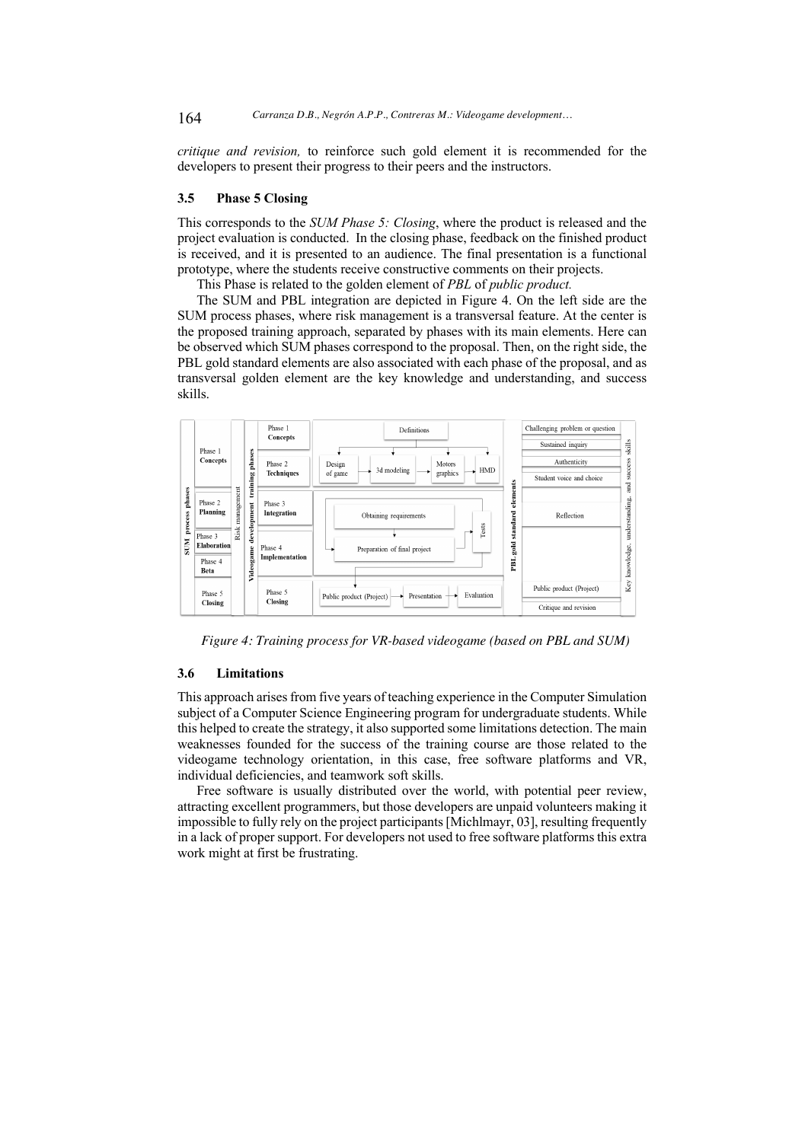*critique and revision,* to reinforce such gold element it is recommended for the developers to present their progress to their peers and the instructors.

### **3.5 Phase 5 Closing**

This corresponds to the *SUM Phase 5: Closing*, where the product is released and the project evaluation is conducted. In the closing phase, feedback on the finished product is received, and it is presented to an audience. The final presentation is a functional prototype, where the students receive constructive comments on their projects.

This Phase is related to the golden element of *PBL* of *public product.*

The SUM and PBL integration are depicted in Figure 4. On the left side are the SUM process phases, where risk management is a transversal feature. At the center is the proposed training approach, separated by phases with its main elements. Here can be observed which SUM phases correspond to the proposal. Then, on the right side, the PBL gold standard elements are also associated with each phase of the proposal, and as transversal golden element are the key knowledge and understanding, and success skills.



 *Figure 4: Training process for VR-based videogame (based on PBL and SUM)*

### **3.6 Limitations**

This approach arises from five years of teaching experience in the Computer Simulation subject of a Computer Science Engineering program for undergraduate students. While this helped to create the strategy, it also supported some limitations detection. The main weaknesses founded for the success of the training course are those related to the videogame technology orientation, in this case, free software platforms and VR, individual deficiencies, and teamwork soft skills.

Free software is usually distributed over the world, with potential peer review, attracting excellent programmers, but those developers are unpaid volunteers making it impossible to fully rely on the project participants [Michlmayr, 03], resulting frequently in a lack of proper support. For developers not used to free software platforms this extra work might at first be frustrating.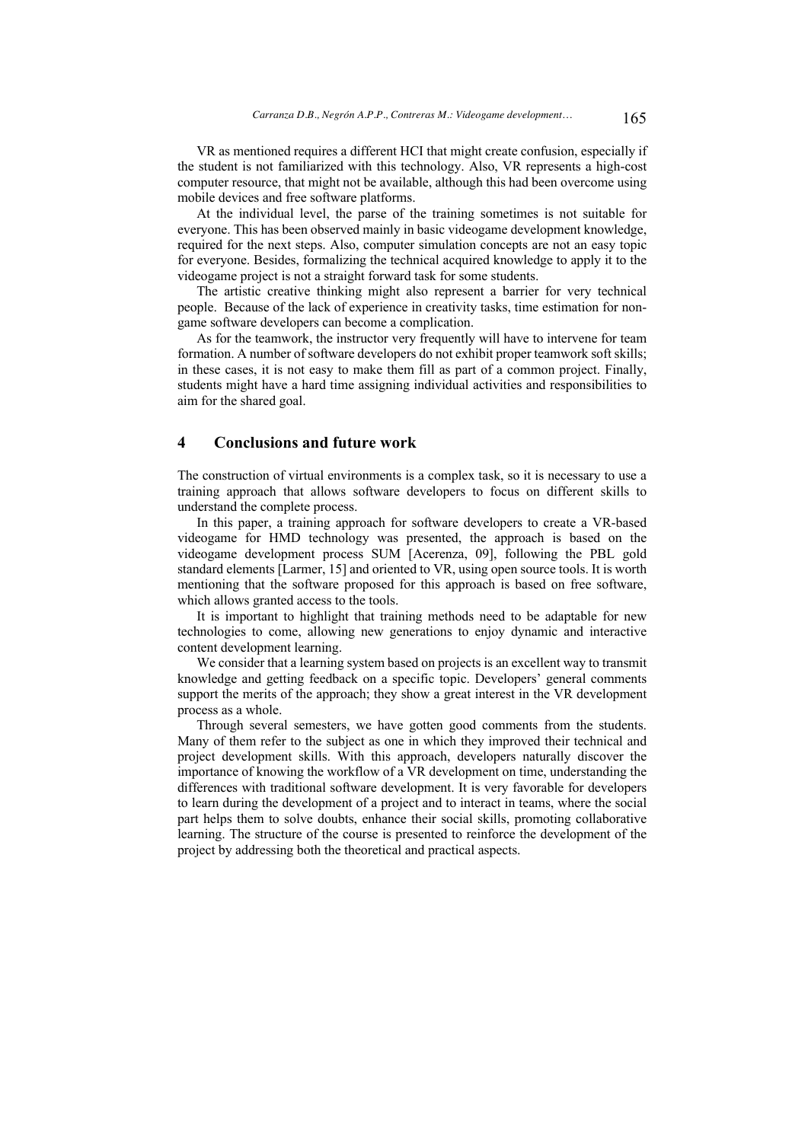VR as mentioned requires a different HCI that might create confusion, especially if the student is not familiarized with this technology. Also, VR represents a high-cost computer resource, that might not be available, although this had been overcome using mobile devices and free software platforms.

At the individual level, the parse of the training sometimes is not suitable for everyone. This has been observed mainly in basic videogame development knowledge, required for the next steps. Also, computer simulation concepts are not an easy topic for everyone. Besides, formalizing the technical acquired knowledge to apply it to the videogame project is not a straight forward task for some students.

The artistic creative thinking might also represent a barrier for very technical people. Because of the lack of experience in creativity tasks, time estimation for nongame software developers can become a complication.

As for the teamwork, the instructor very frequently will have to intervene for team formation. A number of software developers do not exhibit proper teamwork soft skills; in these cases, it is not easy to make them fill as part of a common project. Finally, students might have a hard time assigning individual activities and responsibilities to aim for the shared goal.

## **4 Conclusions and future work**

The construction of virtual environments is a complex task, so it is necessary to use a training approach that allows software developers to focus on different skills to understand the complete process.

In this paper, a training approach for software developers to create a VR-based videogame for HMD technology was presented, the approach is based on the videogame development process SUM [Acerenza, 09], following the PBL gold standard elements [Larmer, 15] and oriented to VR, using open source tools. It is worth mentioning that the software proposed for this approach is based on free software, which allows granted access to the tools.

It is important to highlight that training methods need to be adaptable for new technologies to come, allowing new generations to enjoy dynamic and interactive content development learning.

We consider that a learning system based on projects is an excellent way to transmit knowledge and getting feedback on a specific topic. Developers' general comments support the merits of the approach; they show a great interest in the VR development process as a whole.

Through several semesters, we have gotten good comments from the students. Many of them refer to the subject as one in which they improved their technical and project development skills. With this approach, developers naturally discover the importance of knowing the workflow of a VR development on time, understanding the differences with traditional software development. It is very favorable for developers to learn during the development of a project and to interact in teams, where the social part helps them to solve doubts, enhance their social skills, promoting collaborative learning. The structure of the course is presented to reinforce the development of the project by addressing both the theoretical and practical aspects.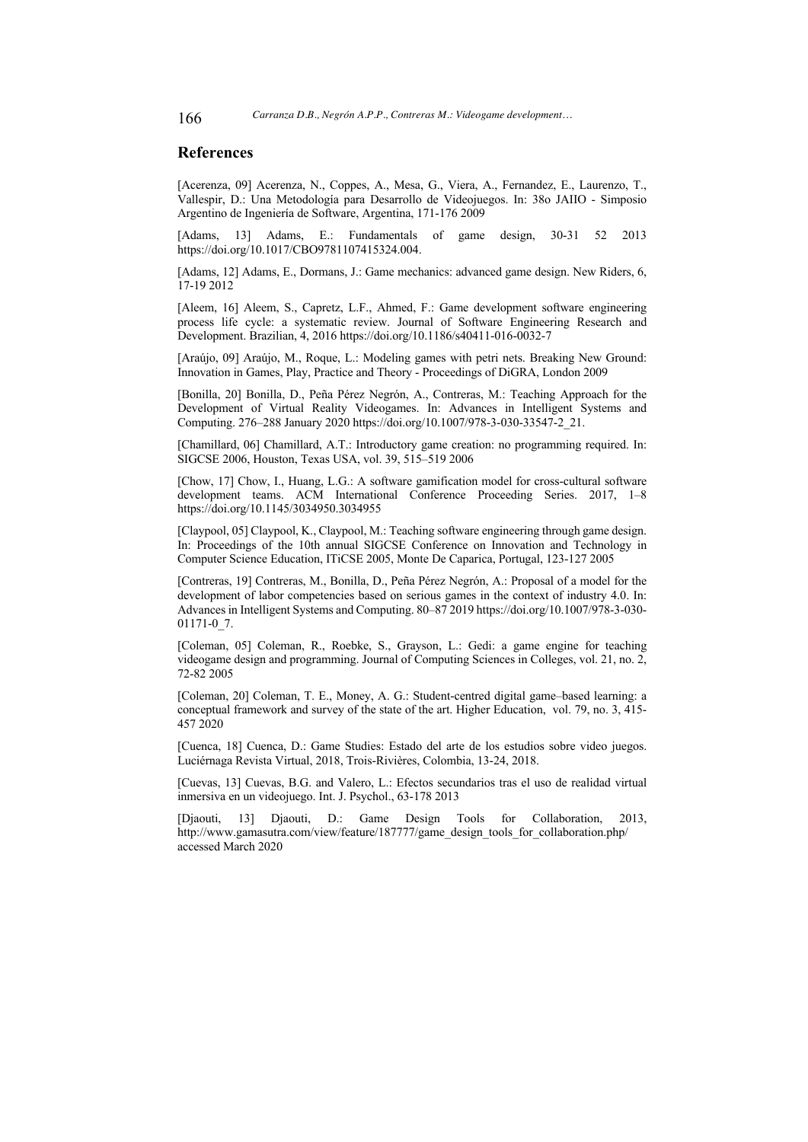### **References**

[Acerenza, 09] Acerenza, N., Coppes, A., Mesa, G., Viera, A., Fernandez, E., Laurenzo, T., Vallespir, D.: Una Metodología para Desarrollo de Videojuegos. In: 38o JAIIO - Simposio Argentino de Ingeniería de Software, Argentina, 171-176 2009

[Adams, 13] Adams, E.: Fundamentals of game design, 30-31 52 2013 https://doi.org/10.1017/CBO9781107415324.004.

[Adams, 12] Adams, E., Dormans, J.: Game mechanics: advanced game design. New Riders, 6, 17-19 2012

[Aleem, 16] Aleem, S., Capretz, L.F., Ahmed, F.: Game development software engineering process life cycle: a systematic review. Journal of Software Engineering Research and Development. Brazilian, 4, 2016 https://doi.org/10.1186/s40411-016-0032-7

[Araújo, 09] Araújo, M., Roque, L.: Modeling games with petri nets. Breaking New Ground: Innovation in Games, Play, Practice and Theory - Proceedings of DiGRA, London 2009

[Bonilla, 20] Bonilla, D., Peña Pérez Negrón, A., Contreras, M.: Teaching Approach for the Development of Virtual Reality Videogames. In: Advances in Intelligent Systems and Computing. 276–288 January 2020 https://doi.org/10.1007/978-3-030-33547-2\_21.

[Chamillard, 06] Chamillard, A.T.: Introductory game creation: no programming required. In: SIGCSE 2006, Houston, Texas USA, vol. 39, 515–519 2006

[Chow, 17] Chow, I., Huang, L.G.: A software gamification model for cross-cultural software development teams. ACM International Conference Proceeding Series. 2017, 1–8 https://doi.org/10.1145/3034950.3034955

[Claypool, 05] Claypool, K., Claypool, M.: Teaching software engineering through game design. In: Proceedings of the 10th annual SIGCSE Conference on Innovation and Technology in Computer Science Education, ITiCSE 2005, Monte De Caparica, Portugal, 123-127 2005

[Contreras, 19] Contreras, M., Bonilla, D., Peña Pérez Negrón, A.: Proposal of a model for the development of labor competencies based on serious games in the context of industry 4.0. In: Advances in Intelligent Systems and Computing. 80–87 2019 https://doi.org/10.1007/978-3-030- 01171-0\_7.

[Coleman, 05] Coleman, R., Roebke, S., Grayson, L.: Gedi: a game engine for teaching videogame design and programming. Journal of Computing Sciences in Colleges, vol. 21, no. 2, 72-82 2005

[Coleman, 20] Coleman, T. E., Money, A. G.: Student-centred digital game–based learning: a conceptual framework and survey of the state of the art. Higher Education, vol. 79, no. 3, 415- 457 2020

[Cuenca, 18] Cuenca, D.: Game Studies: Estado del arte de los estudios sobre video juegos. Luciérnaga Revista Virtual, 2018, Trois-Rivières, Colombia, 13-24, 2018.

[Cuevas, 13] Cuevas, B.G. and Valero, L.: Efectos secundarios tras el uso de realidad virtual inmersiva en un videojuego. Int. J. Psychol., 63-178 2013

[Djaouti, 13] Djaouti, D.: Game Design Tools for Collaboration, 2013, http://www.gamasutra.com/view/feature/187777/game\_design\_tools\_for\_collaboration.php/ accessed March 2020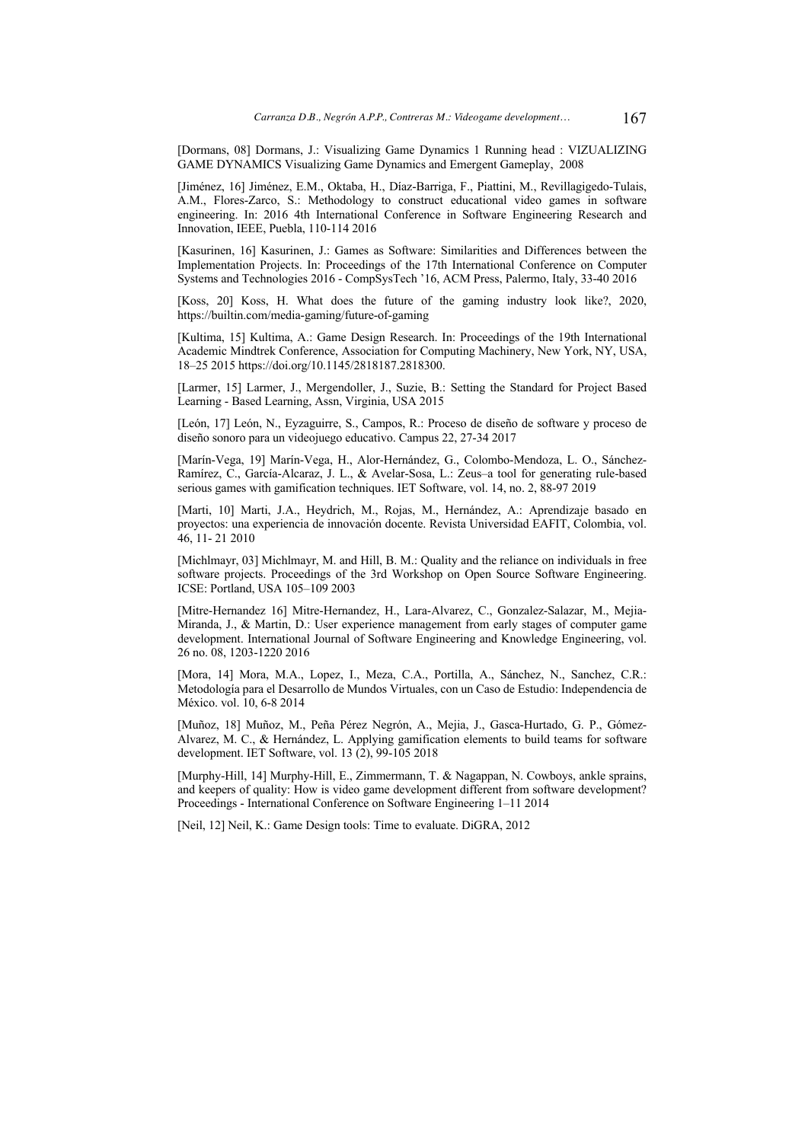[Dormans, 08] Dormans, J.: Visualizing Game Dynamics 1 Running head : VIZUALIZING GAME DYNAMICS Visualizing Game Dynamics and Emergent Gameplay, 2008

[Jiménez, 16] Jiménez, E.M., Oktaba, H., Díaz-Barriga, F., Piattini, M., Revillagigedo-Tulais, A.M., Flores-Zarco, S.: Methodology to construct educational video games in software engineering. In: 2016 4th International Conference in Software Engineering Research and Innovation, IEEE, Puebla, 110-114 2016

[Kasurinen, 16] Kasurinen, J.: Games as Software: Similarities and Differences between the Implementation Projects. In: Proceedings of the 17th International Conference on Computer Systems and Technologies 2016 - CompSysTech '16, ACM Press, Palermo, Italy, 33-40 2016

[Koss, 20] Koss, H. What does the future of the gaming industry look like?, 2020, https://builtin.com/media-gaming/future-of-gaming

[Kultima, 15] Kultima, A.: Game Design Research. In: Proceedings of the 19th International Academic Mindtrek Conference, Association for Computing Machinery, New York, NY, USA, 18–25 2015 https://doi.org/10.1145/2818187.2818300.

[Larmer, 15] Larmer, J., Mergendoller, J., Suzie, B.: Setting the Standard for Project Based Learning - Based Learning, Assn, Virginia, USA 2015

[León, 17] León, N., Eyzaguirre, S., Campos, R.: Proceso de diseño de software y proceso de diseño sonoro para un videojuego educativo. Campus 22, 27-34 2017

[Marín-Vega, 19] Marín-Vega, H., Alor-Hernández, G., Colombo-Mendoza, L. O., Sánchez-Ramírez, C., García-Alcaraz, J. L., & Avelar-Sosa, L.: Zeus–a tool for generating rule-based serious games with gamification techniques. IET Software, vol. 14, no. 2, 88-97 2019

[Marti, 10] Marti, J.A., Heydrich, M., Rojas, M., Hernández, A.: Aprendizaje basado en proyectos: una experiencia de innovación docente. Revista Universidad EAFIT, Colombia, vol. 46, 11- 21 2010

[Michlmayr, 03] Michlmayr, M. and Hill, B. M.: Quality and the reliance on individuals in free software projects. Proceedings of the 3rd Workshop on Open Source Software Engineering. ICSE: Portland, USA 105–109 2003

[Mitre-Hernandez 16] Mitre-Hernandez, H., Lara-Alvarez, C., Gonzalez-Salazar, M., Mejia-Miranda, J., & Martin, D.: User experience management from early stages of computer game development. International Journal of Software Engineering and Knowledge Engineering, vol. 26 no. 08, 1203-1220 2016

[Mora, 14] Mora, M.A., Lopez, I., Meza, C.A., Portilla, A., Sánchez, N., Sanchez, C.R.: Metodología para el Desarrollo de Mundos Virtuales, con un Caso de Estudio: Independencia de México. vol. 10, 6-8 2014

[Muñoz, 18] Muñoz, M., Peña Pérez Negrón, A., Mejia, J., Gasca-Hurtado, G. P., Gómez-Alvarez, M. C., & Hernández, L. Applying gamification elements to build teams for software development. IET Software, vol. 13 (2), 99-105 2018

[Murphy-Hill, 14] Murphy-Hill, E., Zimmermann, T. & Nagappan, N. Cowboys, ankle sprains, and keepers of quality: How is video game development different from software development? Proceedings - International Conference on Software Engineering 1–11 2014

[Neil, 12] Neil, K.: Game Design tools: Time to evaluate. DiGRA, 2012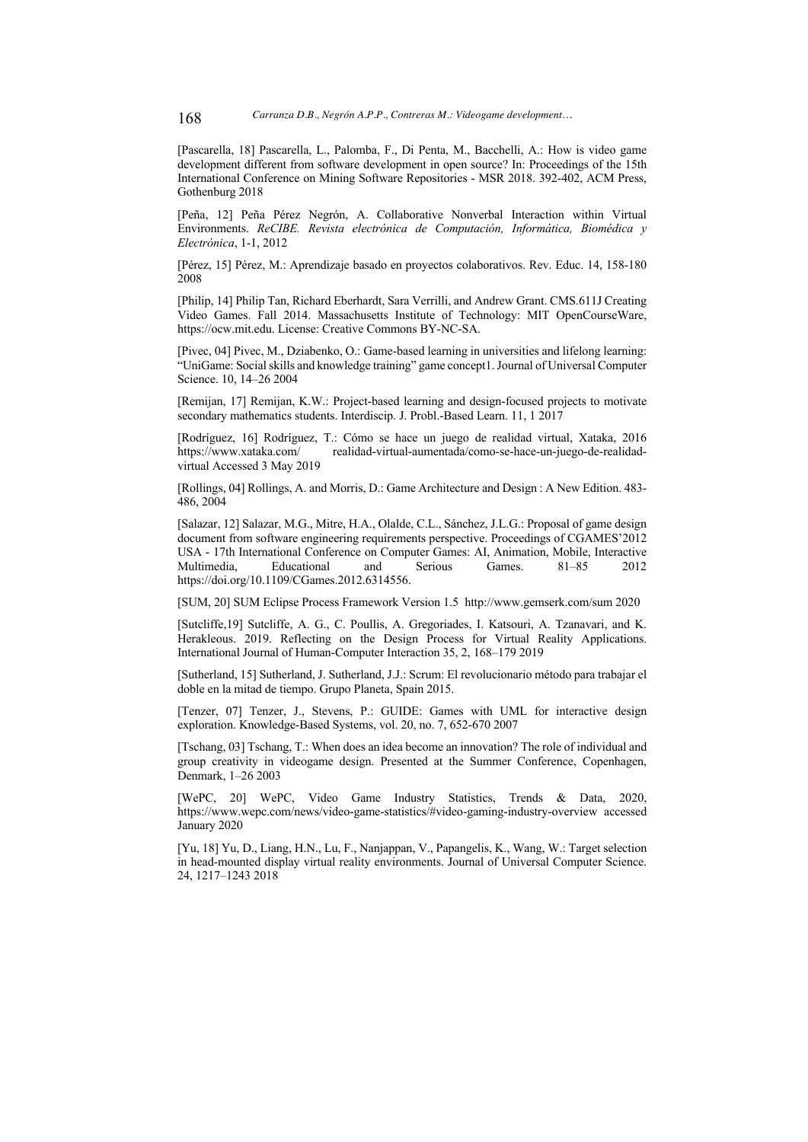[Pascarella, 18] Pascarella, L., Palomba, F., Di Penta, M., Bacchelli, A.: How is video game development different from software development in open source? In: Proceedings of the 15th International Conference on Mining Software Repositories - MSR 2018. 392-402, ACM Press, Gothenburg 2018

[Peña, 12] Peña Pérez Negrón, A. Collaborative Nonverbal Interaction within Virtual Environments. *ReCIBE. Revista electrónica de Computación, Informática, Biomédica y Electrónica*, 1-1, 2012

[Pérez, 15] Pérez, M.: Aprendizaje basado en proyectos colaborativos. Rev. Educ. 14, 158-180 2008

[Philip, 14] Philip Tan, Richard Eberhardt, Sara Verrilli, and Andrew Grant. CMS.611J Creating Video Games. Fall 2014. Massachusetts Institute of Technology: MIT OpenCourseWare, https://ocw.mit.edu. License: Creative Commons BY-NC-SA.

[Pivec, 04] Pivec, M., Dziabenko, O.: Game-based learning in universities and lifelong learning: "UniGame: Social skills and knowledge training" game concept1. Journal of Universal Computer Science. 10, 14–26 2004

[Remijan, 17] Remijan, K.W.: Project-based learning and design-focused projects to motivate secondary mathematics students. Interdiscip. J. Probl.-Based Learn. 11, 1 2017

[Rodríguez, 16] Rodríguez, T.: Cómo se hace un juego de realidad virtual, Xataka, 2016 https://www.xataka.com/ realidad-virtual-aumentada/como-se-hace-un-juego-de-realidadvirtual Accessed 3 May 2019

[Rollings, 04] Rollings, A. and Morris, D.: Game Architecture and Design : A New Edition. 483- 486, 2004

[Salazar, 12] Salazar, M.G., Mitre, H.A., Olalde, C.L., Sánchez, J.L.G.: Proposal of game design document from software engineering requirements perspective. Proceedings of CGAMES'2012 USA - 17th International Conference on Computer Games: AI, Animation, Mobile, Interactive Multimedia, Educational and Serious Games. 81–85 2012 https://doi.org/10.1109/CGames.2012.6314556.

[SUM, 20] SUM Eclipse Process Framework Version 1.5 http://www.gemserk.com/sum 2020

[Sutcliffe,19] Sutcliffe, A. G., C. Poullis, A. Gregoriades, I. Katsouri, A. Tzanavari, and K. Herakleous. 2019. Reflecting on the Design Process for Virtual Reality Applications. International Journal of Human-Computer Interaction 35, 2, 168–179 2019

[Sutherland, 15] Sutherland, J. Sutherland, J.J.: Scrum: El revolucionario método para trabajar el doble en la mitad de tiempo. Grupo Planeta, Spain 2015.

[Tenzer, 07] Tenzer, J., Stevens, P.: GUIDE: Games with UML for interactive design exploration. Knowledge-Based Systems, vol. 20, no. 7, 652-670 2007

[Tschang, 03] Tschang, T.: When does an idea become an innovation? The role of individual and group creativity in videogame design. Presented at the Summer Conference, Copenhagen, Denmark, 1–26 2003

[WePC, 20] WePC, Video Game Industry Statistics, Trends & Data, 2020, https://www.wepc.com/news/video-game-statistics/#video-gaming-industry-overview accessed January 2020

[Yu, 18] Yu, D., Liang, H.N., Lu, F., Nanjappan, V., Papangelis, K., Wang, W.: Target selection in head-mounted display virtual reality environments. Journal of Universal Computer Science. 24, 1217–1243 2018